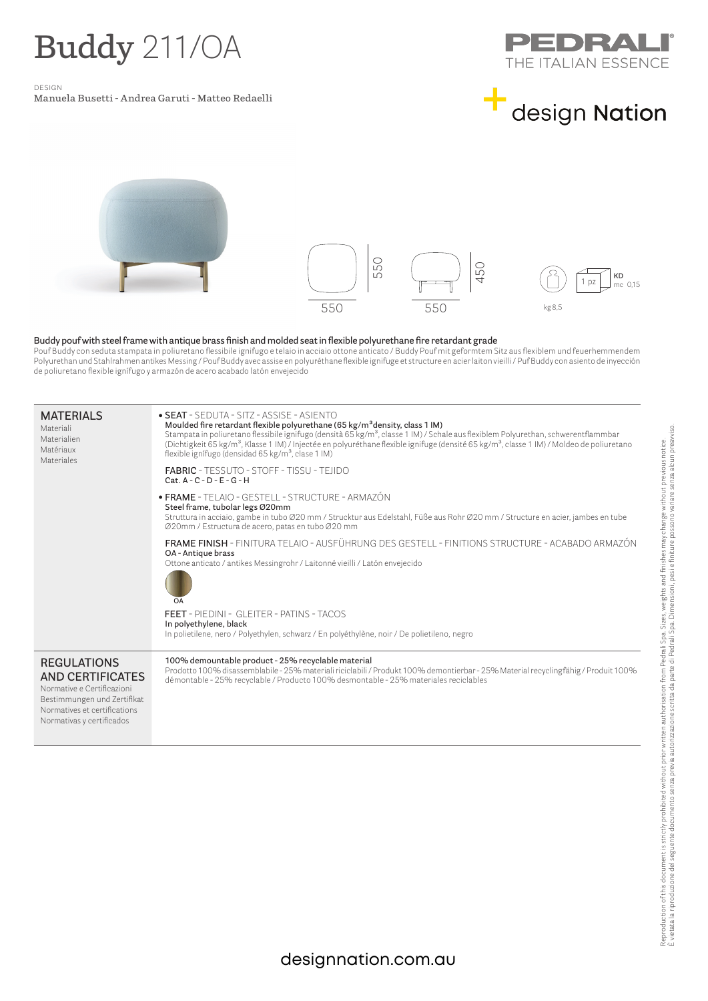## **Buddy** 211/OA

design

**Manuela Busetti - Andrea Garuti - Matteo Redaelli** 







## **Buddy pouf with steel frame with antique brass finish and molded seat in flexible polyurethane fire retardant grade**

|                                                                                                                                                                         |                                                                                                                                                                                                                                                                                                                                                                                                                                                                                                                                                                             | СG<br>$\Box$ | 50<br>4 | KD<br>me 0.15                                                                                                                      |  |  |
|-------------------------------------------------------------------------------------------------------------------------------------------------------------------------|-----------------------------------------------------------------------------------------------------------------------------------------------------------------------------------------------------------------------------------------------------------------------------------------------------------------------------------------------------------------------------------------------------------------------------------------------------------------------------------------------------------------------------------------------------------------------------|--------------|---------|------------------------------------------------------------------------------------------------------------------------------------|--|--|
|                                                                                                                                                                         |                                                                                                                                                                                                                                                                                                                                                                                                                                                                                                                                                                             | 550          | 550     | kg 8.5                                                                                                                             |  |  |
|                                                                                                                                                                         | Buddy pouf with steel frame with antique brass finish and molded seat in flexible polyurethane fire retardant grade<br>Pouf Buddy con seduta stampata in poliuretano flessibile ignifugo e telaio in acciaio ottone anticato / Buddy Pouf mit geformtem Sitz aus flexiblem und feuerhemmendem<br>Polyurethan und Stahlrahmen antikes Messing / Pouf Buddy avec assise en polyuréthane flexible ignifuge et structure en acier laiton vieilli / Puf Buddy con asiento de inyección<br>de poliuretano flexible ignífugo y armazón de acero acabado latón envejecido           |              |         |                                                                                                                                    |  |  |
| <b>MATERIALS</b><br>Materiali<br>Materialien<br>Matériaux<br>Materiales                                                                                                 | • SEAT - SEDUTA - SITZ - ASSISE - ASIENTO<br>Moulded fire retardant flexible polyurethane (65 kg/m <sup>3</sup> density, class 1 IM)<br>Stampata in poliuretano flessibile ignifugo (densità 65 kg/m <sup>3</sup> , classe 1 IM) / Schale aus flexiblem Polyurethan, schwerentflammbar<br>(Dichtigkeit 65 kg/m <sup>3</sup> , Klasse 1 IM) / Injectée en polyuréthane flexible ignifuge (densité 65 kg/m <sup>3</sup> , classe 1 IM) / Moldeo de poliuretano<br>flexible ignífugo (densidad 65 kg/m <sup>3</sup> , clase 1 IM)<br>FABRIC - TESSUTO - STOFF - TISSU - TEJIDO |              |         |                                                                                                                                    |  |  |
|                                                                                                                                                                         | $Cat.A-C-D-E-G-H$<br>· FRAME - TELAIO - GESTELL - STRUCTURE - ARMAZÓN<br>Steel frame, tubolar legs Ø20mm<br>Struttura in acciaio, gambe in tubo Ø20 mm / Strucktur aus Edelstahl, Füße aus Rohr Ø20 mm / Structure en acier, jambes en tube<br>Ø20mm / Estructura de acero, patas en tubo Ø20 mm                                                                                                                                                                                                                                                                            |              |         |                                                                                                                                    |  |  |
|                                                                                                                                                                         | FRAME FINISH - FINITURA TELAIO - AUSFÜHRUNG DES GESTELL - FINITIONS STRUCTURE - ACABADO ARMAZÓN<br>OA - Antique brass<br>Ottone anticato / antikes Messingrohr / Laitonné vieilli / Latón envejecido<br>OA                                                                                                                                                                                                                                                                                                                                                                  |              |         |                                                                                                                                    |  |  |
|                                                                                                                                                                         | <b>FEET</b> - PIEDINI - GLEITER - PATINS - TACOS<br>In polyethylene, black<br>In polietilene, nero / Polyethylen, schwarz / En polyéthylène, noir / De polietileno, negro                                                                                                                                                                                                                                                                                                                                                                                                   |              |         |                                                                                                                                    |  |  |
| <b>REGULATIONS</b><br><b>AND CERTIFICATES</b><br>Normative e Certificazioni<br>Bestimmungen und Zertifikat<br>Normatives et certifications<br>Normativas y certificados | 100% demountable product - 25% recyclable material<br>démontable - 25% recyclable / Producto 100% desmontable - 25% materiales reciclables                                                                                                                                                                                                                                                                                                                                                                                                                                  |              |         | Prodotto 100% disassemblabile - 25% materiali riciclabili / Produkt 100% demontierbar - 25% Material recyclingfähig / Produit 100% |  |  |